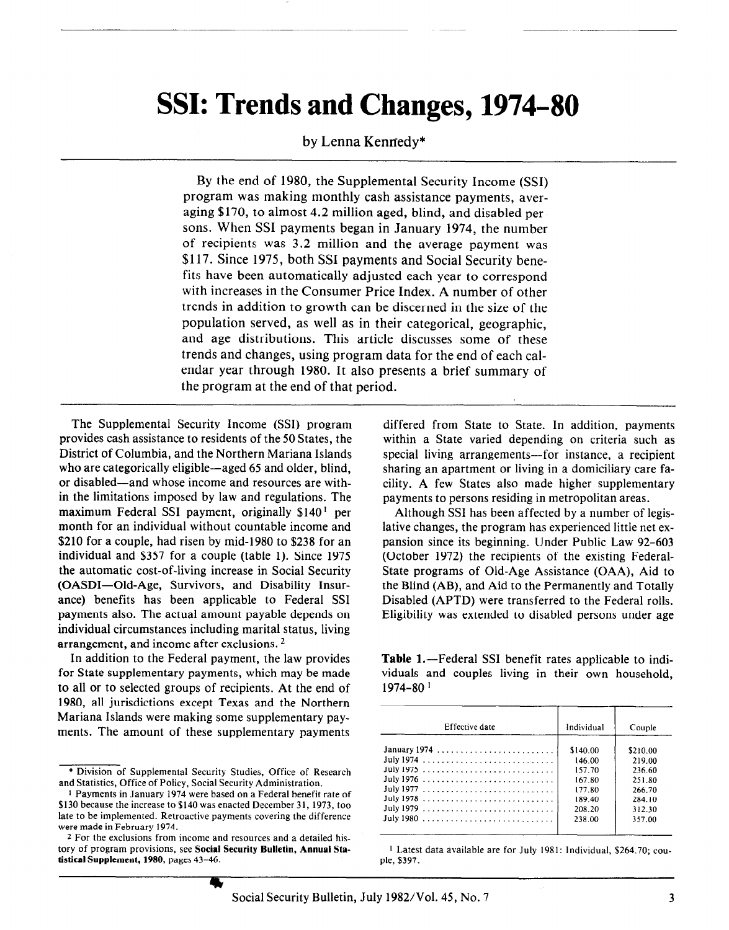# SSI: Trends and Changes, 1974-80

# by Lenna Kennedy\*

By the end of 1980, the Supplemental Security Income (SSI) program was making monthly cash assistance payments, averaging \$170, to almost 4.2 million aged, blind, and disabled persons. When SSI payments began in January 1974, the number of recipients was 3.2 million and the average payment was \$117. Since 1975, both SSI payments and Social Security benefits have been automatically adjusted each year to correspond with increases in the Consumer Price Index. A number of other trends in addition to growth can be discerned in the size of the population served, as well as in their categorical, geographic, and age distributions. This article discusses some of these trends and changes, using program data for the end of each calendar year through 1980. It also presents a brief summary of the program at the end of that period.

The Supplemental Security Income (SSI) program provides cash assistance to residents of the 50 States, the District of Columbia, and the Northern Mariana Islands who are categorically eligible—aged 65 and older, blind, or disabled-and whose income and resources are within the limitations imposed by law and regulations. The maximum Federal SSI payment, originally  $$140<sup>1</sup>$  per month for an individual without countable income and \$210 for a couple, had risen by mid-1980 to \$238 for an individual and \$357 for a couple (table 1). Since 1975 the automatic cost-of-living increase in Social Security (OASDI-Old-Age, Survivors, and Disability Insurance) benefits has been applicable to Federal SSI payments also. The actual amount payable depends on individual circumstances including marital status, living arrangement, and income after exclusions.<sup>2</sup>

In addition to the Federal payment, the law provides for State supplementary payments, which may be made to all or to selected groups of recipients. At the end of 1980, all jurisdictions except Texas and the Northern Mariana Islands were making some supplementary payments. The amount of these supplementary payments

differed from State to State. In addition, payments within a State varied depending on criteria such as special living arrangements-for instance, a recipient sharing an apartment or living in a domiciliary care facility. A few States also made higher supplementary payments to persons residing in metropolitan areas.

Although SSI has been affected by a number of legislative changes, the program has experienced little net expansion since its beginning. Under Public Law 92-603 (October 1972) the recipients of the existing Federal-State programs of Old-Age Assistance (OAA), Aid to the Blind (AB), and Aid to the Permanently and Totally Disabled (APTD) were transferred to the Federal rolls. Eligibility was extended to disabled persons under age

Table 1.—Federal SSI benefit rates applicable to individuals and couples living in their own household, 1974-80 1

| Effective date | Individual | Couple   |
|----------------|------------|----------|
| January 1974   | \$140.00   | \$210.00 |
|                | 146.00     | 219.00   |
|                | 157.70     | 236.60   |
|                | 167.80     | 251.80   |
|                | 177.80     | 266.70   |
|                | 189.40     | 284.10   |
|                | 208.20     | 312.30   |
|                | 238.00     | 357.00   |

1 Latest data available are for July 1981: Individual, \$264.70; couple, \$397.

<sup>\*</sup> Division of Supplemental Security Studies, Office of Research and Statistics, Office of Policy, Social Security Administration.

<sup>1</sup> Payments in January 1974 were based on a Federal benefit rate of \$130 because the increase to \$140 was enacted December 31, 1973, too late to be implemented. Retroactive payments covering the difference were made in February 1974.

<sup>2</sup> For the exclusions from income and resources and a detailed history of program provisions, see Social Security Bulletin, Annual Statistical Supplement, 1980, pages 43-46.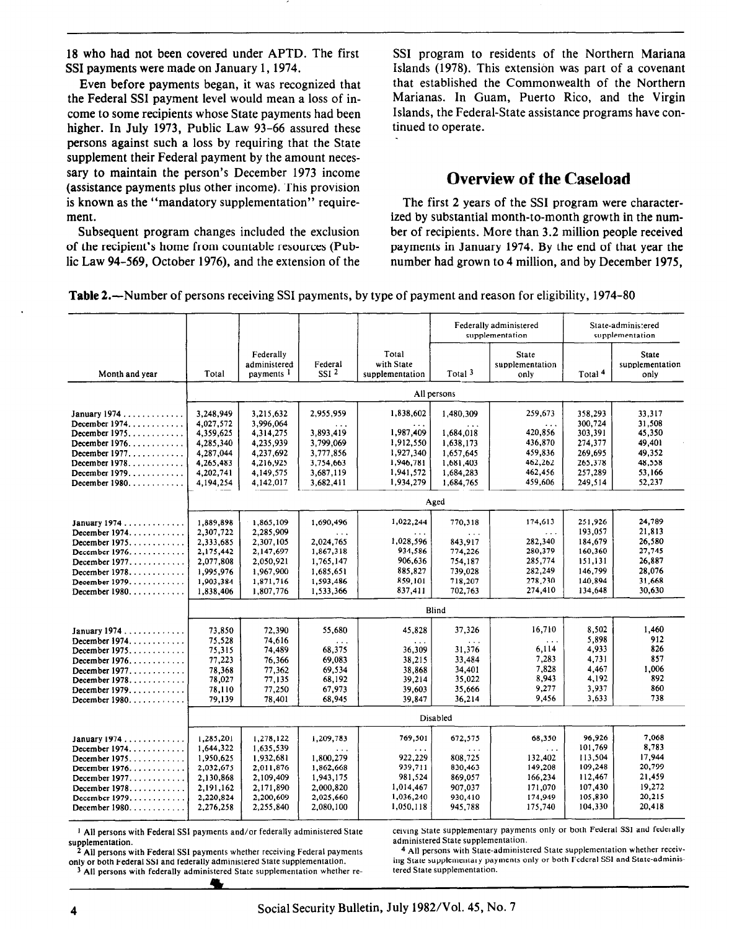18 who had not been covered under APTD. The first SSI payments were made on January 1,1974.

Even before payments began, it was recognized that the Federal SSI payment level would mean a loss of income to some recipients whose State payments had been higher. In July 1973, Public Law 93-66 assured these persons against such a loss by requiring that the State supplement their Federal payment by the amount necessary to maintain the person's December 1973 income (assistance payments plus other income). This provision is known as the "mandatory supplementation" requirement.

Subsequent program changes included the exclusion of the recipient's home from countable resources (Public Law 94-569, October 1976), and the extension of the

SSI program to residents of the Northern Mariana Islands (1978). This extension was part of a covenant that established the Commonwealth of the Northern Marianas. In Guam, Puerto Rico, and the Virgin Islands, the Federal-State assistance programs have continued to operate.

# Overview of the Caseload

The first 2 years of the SSI program were characterized by substantial month-to-month growth in the number of recipients. More than 3.2 million people received payments in January 1974. By the end of that year the number had grown to 4 million, and by December 1975,

Table 2.—Number of persons receiving SSI payments, by type of payment and reason for eligibility, 1974-80

|                                         |                        |                                                    |                             |                                        |                                   | Federally administered<br>supplementation |                    | State-administered<br>supplementation |  |  |  |  |  |  |
|-----------------------------------------|------------------------|----------------------------------------------------|-----------------------------|----------------------------------------|-----------------------------------|-------------------------------------------|--------------------|---------------------------------------|--|--|--|--|--|--|
| Month and year                          | Total                  | Federally<br>administered<br>payments <sup>1</sup> | Federal<br>SSI <sub>2</sub> | Total<br>with State<br>supplementation | Total <sup>3</sup>                | <b>State</b><br>supplementation<br>only   | Total <sup>4</sup> | State<br>supplementation<br>only      |  |  |  |  |  |  |
|                                         |                        |                                                    |                             |                                        | All persons                       |                                           |                    |                                       |  |  |  |  |  |  |
| January 1974<br>December 1974. $\ldots$ | 3.248.949<br>4.027.572 | 3,215,632<br>3,996,064                             | 2,955,959<br>$\cdots$       | 1,838,602<br>$\sim 10$                 | 1,480,309<br>$\sim$ $\sim$ $\sim$ | 259,673<br>$\sim 10$ .                    | 358,293<br>300,724 | 33.317<br>31.508                      |  |  |  |  |  |  |
| December 1975.                          | 4,359,625              | 4,314,275                                          | 3,893,419                   | 1,987,409                              | 1,684,018                         | 420,856                                   | 303,391            | 45,350                                |  |  |  |  |  |  |
| December 1976. $\ldots$                 | 4,285,340              | 4,235,939                                          | 3,799,069                   | 1,912,550                              | 1,638,173                         | 436,870                                   | 274,377            | 49,401                                |  |  |  |  |  |  |
| December $1977$                         | 4,287,044              | 4,237,692                                          | 3,777,856                   | 1,927,340                              | 1,657,645                         | 459,836                                   | 269,695            | 49.352                                |  |  |  |  |  |  |
| December 1978. $\ldots$ ,               | 4,265,483              | 4,216,925                                          | 3,754,663                   | 1,946,781                              | 1,681,403                         | 462,262                                   | 265,378            | 48,558                                |  |  |  |  |  |  |
| December 1979. $\dots$ .                | 4,202,741              | 4,149,575                                          | 3,687,119                   | 1,941,572                              | 1,684,283                         | 462,456                                   | 257,289            | 53,166                                |  |  |  |  |  |  |
| December 1980.                          | 4,194,254              | 4,142,017                                          | 3,682,411                   | 1,934,279                              | 1,684,765                         | 459,606                                   | 249.514            | 52,237                                |  |  |  |  |  |  |
|                                         |                        | Aged                                               |                             |                                        |                                   |                                           |                    |                                       |  |  |  |  |  |  |
|                                         | 1,889,898              | 1,865,109                                          | 1,690,496                   | 1,022,244                              | 770,318                           | 174,613                                   | 251,926            | 24,789                                |  |  |  |  |  |  |
| January 1974<br>December 1974.          | 2,307,722              | 2,285,909                                          |                             |                                        |                                   | $\sim 100$                                | 193,057            | 21,813                                |  |  |  |  |  |  |
| December $1975$                         | 2,333,685              | 2.307.105                                          | $\ddotsc$<br>2,024,765      | $\sim$ $\sim$ $\sim$<br>1,028,596      | $\sim$ $\sim$ $\sim$<br>843.917   | 282,340                                   | 184,679            | 26,580                                |  |  |  |  |  |  |
| December 1976.                          | 2,175,442              | 2,147,697                                          | 1,867,318                   | 934,586                                | 774,226                           | 280,379                                   | 160,360            | 27,745                                |  |  |  |  |  |  |
| December $1977$                         | 2.077.808              | 2,050,921                                          | 1,765,147                   | 906,636                                |                                   | 754,187<br>285,774                        |                    | 26,887                                |  |  |  |  |  |  |
| December 1978.                          | 1,995,976              | 1,967,900                                          | 1,685,651                   | 885,827                                | 739.028                           | 282,249                                   | 151,131<br>146,799 | 28.076                                |  |  |  |  |  |  |
| December 1979.                          | 1,903,384              | 1,871,716                                          | 1,593,486                   | 859,101                                | 718,207                           | 278,230                                   | 140,894            | 31,668                                |  |  |  |  |  |  |
| December 1980. $\dots$ .                | 1,838,406              | 1,807,776                                          | 1,533,366                   | 837,411                                | 702.763                           | 274,410                                   | 134,648            | 30.630                                |  |  |  |  |  |  |
|                                         |                        |                                                    |                             |                                        | Blind                             |                                           |                    |                                       |  |  |  |  |  |  |
|                                         |                        |                                                    |                             |                                        |                                   |                                           |                    |                                       |  |  |  |  |  |  |
| January 1974                            | 73,850                 | 72,390                                             | 55,680                      | 45,828                                 | 37,326                            | 16,710                                    | 8,502              | 1.460                                 |  |  |  |  |  |  |
| December 1974. $\ldots$                 | 75.528                 | 74,616                                             | .                           | $\sim 100$                             | $\cdots$                          | $\ddotsc$                                 | 5.898              | 912                                   |  |  |  |  |  |  |
| December 1975.                          | 75,315                 | 74,489                                             | 68,375                      | 36,309                                 | 31,376                            | 6,114                                     | 4,933              | 826                                   |  |  |  |  |  |  |
| December $1976$                         | 77,223                 | 76.366                                             | 69.083                      | 38.215                                 | 33,484                            | 7,283                                     | 4,731              | 857                                   |  |  |  |  |  |  |
| December 1977.                          | 78,368                 | 77,362                                             | 69,534                      | 38.868                                 | 34,401                            | 7.828                                     | 4,467              | 1.006<br>892                          |  |  |  |  |  |  |
| December $1978$                         | 78,027                 | 77,135                                             | 68,192                      | 39.214                                 | 35,022                            | 8.943<br>9.277                            | 4,192<br>3,937     | 860                                   |  |  |  |  |  |  |
| December 1979.<br>December 1980.        | 78,110<br>79.139       | 77,250<br>78,401                                   | 67.973<br>68,945            | 39.603<br>39.847                       | 35,666<br>36,214                  | 9,456                                     | 3,633              | 738                                   |  |  |  |  |  |  |
|                                         |                        |                                                    |                             |                                        |                                   |                                           |                    |                                       |  |  |  |  |  |  |
|                                         |                        |                                                    |                             |                                        | Disabled                          |                                           |                    |                                       |  |  |  |  |  |  |
| January 1974                            | 1,285,201              | 1,278,122                                          | 1.209,783                   | 769.501                                | 672,575                           | 68,350                                    | 96,926             | 7,068                                 |  |  |  |  |  |  |
| December 1974.                          | 1,644,322              | 1,635,539                                          | $\cdots$                    | $\sim$ $\sim$ $\sim$                   | $\sim$ $\sim$ $\sim$              | $\sim$ $\sim$ $\sim$                      | 101,769            | 8,783                                 |  |  |  |  |  |  |
| December 1975.                          | 1,950,625              | 1,932,681                                          | 1,800,279                   | 922,229                                | 808,725                           | 132,402                                   | 113,504            | 17,944                                |  |  |  |  |  |  |
| December 1976. $\ldots$                 | 2,032,675              | 2,011,876                                          | 1,862,668                   | 939,711                                | 830,463                           | 149,208                                   | 109,248            | 20,799                                |  |  |  |  |  |  |
| December $1977$                         | 2,130,868              | 2,109,409                                          | 1,943,175                   | 981,524                                | 869,057                           | 166,234                                   | 112,467            | 21,459                                |  |  |  |  |  |  |
| December $1978$                         | 2.191.162              | 2.171.890                                          | 2,000,820                   | 1,014,467                              | 907.037                           | 171.070                                   | 107,430            | 19,272                                |  |  |  |  |  |  |
| December 1979. $\ldots$ ,               | 2.220,824              | 2,200,609                                          | 2,025,660                   | 1,036,240                              | 930,410                           | 174,949                                   | 105,830            | 20,215                                |  |  |  |  |  |  |
| December 1980.                          | 2,276,258              | 2,255,840                                          | 2,080,100                   | 1,050,118                              | 945,788                           | 175,740                                   | 104,330            | 20,418                                |  |  |  |  |  |  |
|                                         |                        |                                                    |                             |                                        |                                   |                                           |                    |                                       |  |  |  |  |  |  |

<sup>1</sup> All persons with Federal SSI payments and/or federally administered State supplementation.

2 All persons with Federal SSI payments whether receiving Federal payments only or both Federal SSI and federally administered State supplementation. <sup>3</sup> All persons with federally administered State supplementation whether receiving State supplementary payments only or both Federal SSI and federally administered State supplementation.

<sup>4</sup> All persons with State-administered State supplementation whether receiving State supplementary payments only or both Federal SSI and State-administered State supplementation.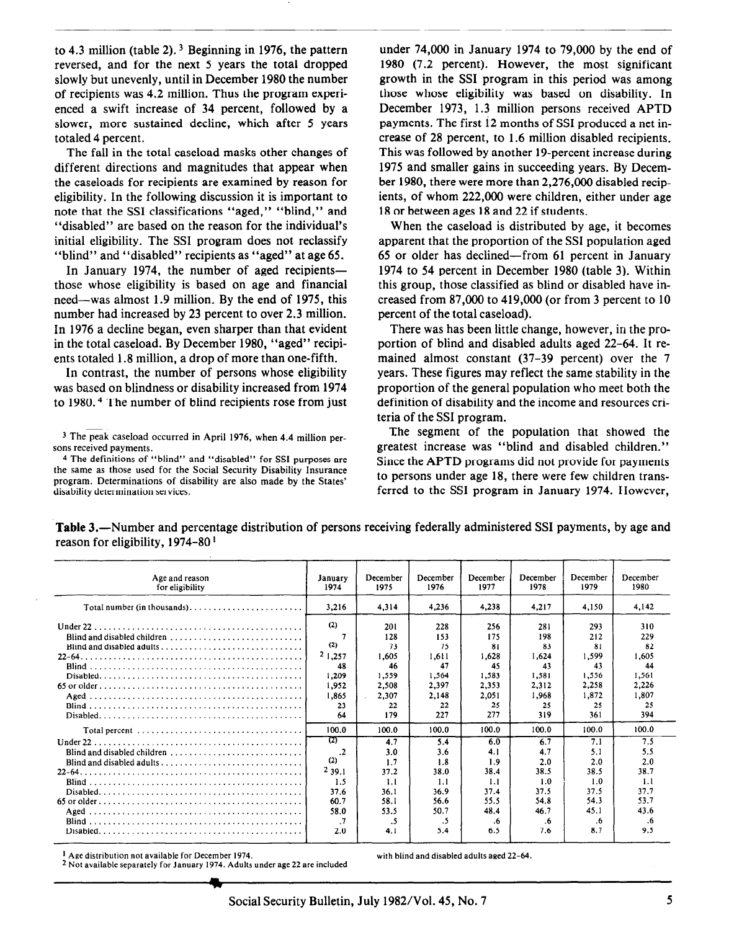to 4.3 million (table 2).  $3$  Beginning in 1976, the pattern reversed, and for the next 5 years the total dropped slowly but unevenly, until in December 1980 the number of recipients was 4.2 million. Thus the program experienced a swift increase of 34 percent, followed by a slower, more sustained decline, which after 5 years totaled 4 percent.

The fall in the total caseload masks other changes of different directions and magnitudes that appear when the caseloads for recipients are examined by reason for eligibility. In the following discussion it is important to note that the SSI classifications "aged," "blind," and "disabled" are based on the reason for the individual's initial eligibility. The SSI program does not reclassify "blind" and "disabled" recipients as "aged" at age 65.

In January 1974, the number of aged recipientsthose whose eligibility is based on age and financial need-was almost 1.9 million. By the end of 1975, this number had increased by 23 percent to over 2.3 million. In 1976 a decline began, even sharper than that evident in the total caseload. By December 1980, "aged" recipients totaled 1.8 million, a drop of more than one-fifth.

In contrast, the number of persons whose eligibility was based on blindness or disability increased from 1974 to 1980. 4 The number of blind recipients rose from just

under 74,000 in January 1974 to 79,000 by the end of 1980 (7.2 percent). However, the most significant growth in the SSI program in this period was among those whose eligibility was based on disability. In December 1973, 1.3 million persons received APTD payments. The first 12 months of SSI produced a net increase of 28 percent, to 1.6 million disabled recipients. This was followed by another 19-percent increase during 1975 and smaller gains in succeeding years. By December 1980, there were more than 2,276,OOO disabled recipients, of whom 222,000 were children, either under age 18 or between ages 18 and 22 if students.

When the caseload is distributed by age, it becomes apparent that the proportion of the SSI population aged 65 or older has declined-from 61 percent in January 1974 to 54 percent in December 1980 (table 3). Within this group, those classified as blind or disabled have increased from 87,000 to 419,000 (or from 3 percent to 10 percent of the total caseload).

There was has been little change, however, in the proportion of blind and disabled adults aged 22-64. It remained almost constant (37-39 percent) over the 7 years. These figures may reflect the same stability in the proportion of the general population who meet both the definition of disability and the income and resources criteria of the SSI program.

The segment of the population that showed the greatest increase was "blind and disabled children." Since the APTD programs did not provide for payments to persons under age 18, there were few children transferred to the SSI program in January 1974. However,

| Age and reason<br>for eligibility                                                    | January<br>1974                                                   | December<br>1975                                                        | December<br>1976                                                        | December<br>1977                                                        | December<br>1978                                                        | December<br>1979                                                        | December<br>1980                                                        |
|--------------------------------------------------------------------------------------|-------------------------------------------------------------------|-------------------------------------------------------------------------|-------------------------------------------------------------------------|-------------------------------------------------------------------------|-------------------------------------------------------------------------|-------------------------------------------------------------------------|-------------------------------------------------------------------------|
|                                                                                      | 3.216                                                             | 4,314                                                                   | 4.236                                                                   | 4.238                                                                   | 4.217                                                                   | 4.150                                                                   | 4,142                                                                   |
|                                                                                      | (2)<br>(2)<br>21,257<br>48<br>1.209<br>1,952<br>1,865<br>23<br>64 | 201<br>128<br>73<br>1.605<br>46<br>1.559<br>2,508<br>2,307<br>22<br>179 | 228<br>153<br>75<br>1,611<br>47<br>1.564<br>2,397<br>2.148<br>22<br>227 | 256<br>175<br>81<br>1,628<br>45<br>1.583<br>2,353<br>2.051<br>25<br>277 | 281<br>198<br>83<br>1.624<br>43<br>1,581<br>2.312<br>1,968<br>25<br>319 | 293<br>212<br>81<br>1,599<br>43<br>1,556<br>2,258<br>1,872<br>25<br>361 | 310<br>229<br>82<br>1,605<br>44<br>1,561<br>2,226<br>1,807<br>25<br>394 |
|                                                                                      | 100.0                                                             | 100.0                                                                   | 100.0                                                                   | 100.0                                                                   | 100.0                                                                   | 100.0                                                                   | 100.0                                                                   |
| Blind and disabled children $\ldots, \ldots, \ldots, \ldots, \ldots, \ldots, \ldots$ | 725<br>$\cdot$<br>(2)<br>2,39,1<br>1.5                            | 4.7<br>3.0<br>1.7<br>37.2<br>1.1                                        | 5.4<br>3.6<br>1.8<br>38.0<br>1.1                                        | 6.0<br>4.1<br>1.9<br>38.4<br>1.1                                        | 6.7<br>4.7<br>2.0<br>38.5<br>1.0                                        | 7.1<br>5.1<br>2.0<br>38.5<br>1.0                                        | 7.5<br>5.5<br>2.0<br>38.7<br>1.1                                        |
|                                                                                      | 37.6<br>60.7<br>58.0<br>$\cdot$<br>2.0                            | 36.1<br>58.1<br>53.5<br>.5<br>4.1                                       | 36.9<br>56.6<br>50.7<br>.5<br>5.4                                       | 37.4<br>55.5<br>48.4<br>.6<br>6.5                                       | 37.5<br>54.8<br>46.7<br>.6<br>7.6                                       | 37.5<br>54.3<br>45.1<br>.6<br>8.7                                       | 37.7<br>53.7<br>43.6<br>.6<br>9.5                                       |

Table 3.—Number and percentage distribution of persons receiving federally administered SSI payments, by age and reason for eligibility, 1974-80 '

<sup>1</sup> Age distribution not available for December 1974.

2 Not available separately for January 1974. Adults under age 22 are included

with blind and disabled adults aged 22-64.

<sup>3</sup> The peak caseload occurred in April 1976, when 4.4 million persons received payments.

<sup>4</sup> The definitions of "blind" and "disabled" for SSI purposes are the same as those used for the Social Security Disability Insurance program. Determinations of disability are also made by the States' disability determination services.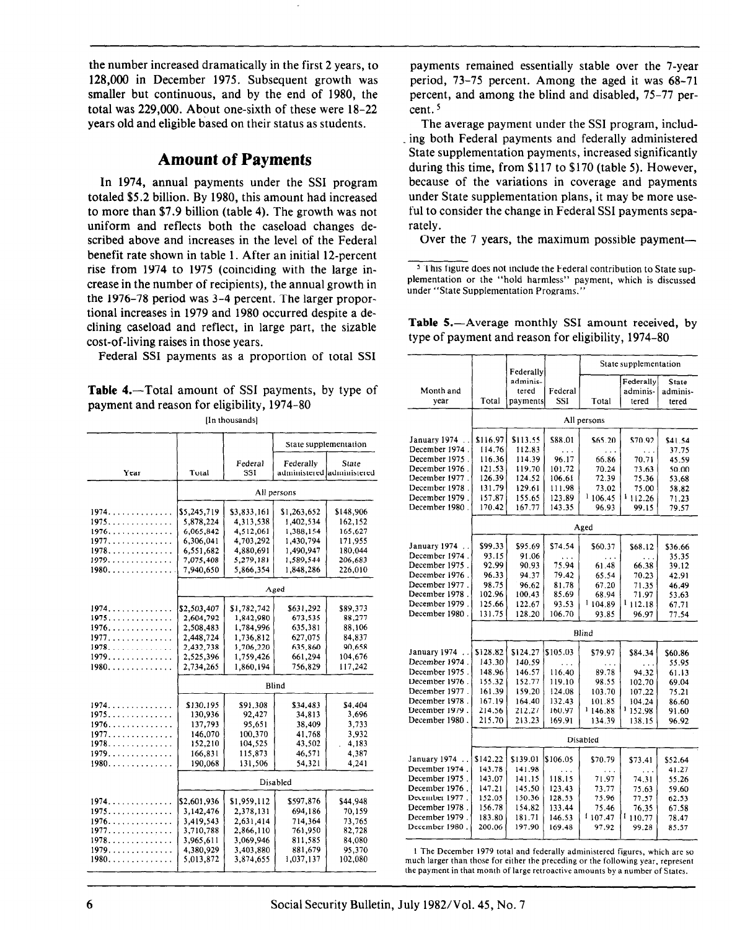the number increased dramatically in the first 2 years, to 128,000 in December 1975. Subsequent growth was smaller but continuous, and by the end of 1980, the total was 229,000. About one-sixth of these were 18-22 years old and eligible based on their status as students.

# Amount of Payments

In 1974, annual payments under the SSI program totaled \$5.2 billion. By 1980, this amount had increased to more than \$7.9 billion (table 4). The growth was not uniform and reflects both the caseload changes described above and increases in the level of the Federal benefit rate shown in table 1. After an initial 12-percent rise from 1974 to 1975 (coinciding with the large increase in the number of recipients), the annual growth in the 1976-78 period was 3-4 percent. The larger proportional increases in 1979 and 1980 occurred despite a declining caseload and reflect, in large part, the sizable cost-of-living raises in those years.

Federal SSI payments as a proportion of total SSI

**Table 4.**—Total amount of SSI payments, by type of payment and reason for eligibility, 1974-80

Iln thousands]

|                                     |             |             |              | State supplementation     | January 1974.                  |
|-------------------------------------|-------------|-------------|--------------|---------------------------|--------------------------------|
|                                     |             |             |              |                           | December 1974                  |
|                                     |             | Federal     | Federally    | State                     | December 1975                  |
| Year                                | Total       | SSI         |              | administered administered | December 1976<br>December 1977 |
|                                     |             |             |              |                           | December 1978                  |
|                                     |             |             | All persons  |                           | December 1979                  |
|                                     |             |             |              |                           | December 1980                  |
| $1974. \ldots \ldots \ldots \ldots$ | \$5,245,719 | \$3,833,161 | \$1,263,652  | \$148,906                 |                                |
| 1975.                               | 5,878,224   | 4,313,538   | 1.402.534    | 162,152                   |                                |
| 1976                                | 6,065,842   | 4,512,061   | 1,388,154    | 165,627                   |                                |
| 1977.                               | 6,306,041   | 4,703,292   | 1,430,794    | 171,955                   | January 1974.                  |
| 1978.                               | 6,551,682   | 4,880,691   | 1.490,947    | 180,044                   | December 1974                  |
| 1979.                               | 7,075,408   | 5,279,181   | 1,589,544    | 206,683                   | December 1975                  |
| $1980$                              | 7,940,650   | 5.866.354   | 1.848.286    | 226,010                   | December 1976                  |
|                                     |             |             |              |                           | December 1977                  |
|                                     |             |             | Aged         |                           | December 1978                  |
|                                     |             |             |              |                           | December 1979                  |
| 1974                                | \$2,503,407 | \$1,782,742 | \$631,292    | \$89,373                  | December 1980                  |
| 1975                                | 2,604,792   | 1,842,980   | 673,535      | 88,277                    |                                |
| 1976.                               | 2,508,483   | 1,784,996   | 635,381      | 88,106                    |                                |
| 1977                                | 2,448,724   | 1,736.812   | 627,075      | 84,837                    |                                |
| 1978.                               | 2,432,738   | 1,706.220   | 635,860      | 90,658                    | January 1974.                  |
| <u> 1979.</u>                       | 2,525,396   | 1,759,426   | 661,294      | 104,676                   | December 1974                  |
| $1980$                              | 2.734.265   | 1,860,194   | 756.829      | 117,242                   | December 1975                  |
|                                     |             |             |              |                           | December 1976                  |
|                                     |             |             | <b>Blind</b> |                           | December 1977                  |
|                                     |             |             |              |                           | December 1978                  |
| 1974                                | \$130,195   | \$91,308    | \$34,483     | \$4,404                   | December 1979                  |
| 1975                                | 130,936     | 92.427      | 34.813       | 3,696                     | December 1980                  |
| 1976.                               | 137,793     | 95,651      | 38,409       | 3,733                     |                                |
| 1977                                | 146,070     | 100,370     | 41,768       | 3,932                     |                                |
| 1978                                | 152,210     | 104,525     | 43,502       | 4,183<br>$\overline{a}$   |                                |
| 1979.                               | 166,831     | 115,873     | 46,571       | 4,387                     | January 1974.                  |
| 1980                                | 190,068     | 131,506     | 54,321       | 4,241                     | December 1974                  |
|                                     |             |             |              |                           | December 1975                  |
|                                     |             |             | Disabled     |                           | December 1976                  |
|                                     |             |             |              |                           | December 1977                  |
| 1974                                | \$2,601,936 | \$1,959,112 | \$597,876    | \$44,948                  | December 1978                  |
| 1975                                | 3.142.476   | 2,378,131   | 694,186      | 70.159                    | December 1979                  |
| $1976$                              | 3,419,543   | 2,631,414   | 714,364      | 73,765                    | December 1980                  |
| 1977.                               | 3,710,788   | 2,866,110   | 761,950      | 82,728                    |                                |
| 1978.                               | 3,965,611   | 3,069,946   | 811.585      | 84,080                    |                                |
| 1979.                               | 4,380,929   | 3,403,880   | 881,679      | 95,370                    | 1 The Decemb                   |
| 1980.                               | 5.013.872   | 3,874,655   | 1,037,137    | 102,080                   | much larger that               |
|                                     |             |             |              |                           | the payment in th              |

payments remained essentially stable over the 7-year period, 73-75 percent. Among the aged it was 68-71 percent, and among the blind and disabled, 75-77 percent. 5

The average payment under the SSI program, including both Federal payments and federally administered State supplementation payments, increased significantly during this time, from \$117 to \$170 (table 5). However, because of the variations in coverage and payments under State supplementation plans, it may be more useful to consider the change in Federal SSI payments separately.

Over the 7 years, the maximum possible payment—

<sup>5</sup> This figure does not include the Federal contribution to State supplementation or the "hold harmless" payment, which is discussed under "State Supplementation Programs."

|                 |          | Federally |            |                     | State supplementation |                |
|-----------------|----------|-----------|------------|---------------------|-----------------------|----------------|
|                 |          | adminis-  |            |                     | Federally             | <b>State</b>   |
| Month and       |          | tered     | Federal    |                     | adminis-              | adminis-       |
| year            | Total    | payments  | <b>SSI</b> | Total               | tered                 | tered          |
|                 |          |           |            |                     |                       |                |
|                 |          |           |            | All persons         |                       |                |
| January 1974    | \$116.97 | \$113.55  | \$88.01    | \$65.20             | \$70.92               | \$41.54        |
| December 1974   | 114.76   | 112.83    | .          | .                   | .                     | 37.75          |
| December 1975.  | 116.36   | 114.39    | 96.17      | 66.86               | 70.71                 | 45.59          |
| December 1976.  | 121.53   | 119.70    | 101.72     | 70.24               | 73.63                 | 50.00          |
| December 1977.  | 126.39   | 124.52    | 106.61     | 72.39               | 75.36                 | 53.68          |
| December 1978.  | 131.79   | 129.61    | 111.98     | 73.02               | 75.00                 | 58.82          |
| December 1979.  | 157.87   | 155.65    | 123.89     | 1106.45             | <sup>1</sup> 112.26   | 71.23          |
| December 1980.  | 170.42   | 167,77    | 143.35     | 96.93               | 99.15                 | 79.57          |
|                 |          |           |            | Aged                |                       |                |
| January 1974    | \$99.33  | \$95.69   | \$74.54    | \$60.37             | \$68.12               | \$36.66        |
| December 1974.  | 93.15    | 91.06     |            |                     |                       | 35.35          |
| December 1975.  | 92.99    | 90.93     | 75.94      | .<br>61.48          | 66.38                 | 39.12          |
| December 1976.  | 96.33    | 94.37     | 79.42      | 65.54               | 70.23                 | 42.91          |
| December 1977.  | 98.75    | 96.62     | 81.78      | 67.20               | 71.35                 |                |
| December 1978.  | 102.96   | 100.43    | 85.69      | 68.94               | 71.97                 | 46.49<br>53.63 |
| December 1979.  | 125.66   | 122.67    | 93.53      | <sup>1</sup> 104.89 | 1112.18               |                |
| December 1980.  | 131.75   | 128.20    | 106.70     | 93.85               | 96.97                 | 67.71<br>77.54 |
|                 |          |           |            |                     |                       |                |
|                 |          |           |            | Blind               |                       |                |
| January 1974    | \$128.82 | \$124.27  | \$105.03   | \$79.97             | \$84.34               | \$60.86        |
| December 1974.  | 143.30   | 140.59    | .          | .                   | .                     | 55.95          |
| December 1975 . | 148.96   | 146.57    | 116.40     | 89.78               | 94 32                 | 61.13          |
| December 1976.  | 155.32   | 152.77    | 119.10     | 98.55               | 102.70                | 69.04          |
| December 1977.  | 161.39   | 159.20    | 124.08     | 103.70              | 107,22                | 75.21          |
| December 1978.  | 167.19   | 164.40    | 132.43     | 101.85              | 104.24                | 86.60          |
| December 1979.  | 214.56   | 212,27    | 160.97     | <sup>1</sup> 146.88 | <sup>1</sup> 152.98   | 91.60          |
| December 1980.  | 215.70   | 213.23    | 169.91     | 134.39              | 138.15                | 96.92          |
|                 |          |           |            | Disabled            |                       |                |
|                 |          |           |            |                     |                       |                |
| January 1974    | \$142.22 | \$139.01  | \$106.05   | \$70.79             | \$73.41               | \$52.64        |
| December 1974.  | 143.78   | 141.98    | .          | $\cdots$            | .                     | 41.27          |
| December 1975 . | 143.07   | 141 15    | 118.15     | 71.97               | 74.31                 | 55.26          |
| December 1976 . | 147.21   | 145.50    | 123.43     | 73.77               | 75.63                 | 59.60          |
| . December 1977 | 152.05   | 150.36    | 128.53     | 75.96               | 77.57                 | 62.53          |
| December 1978 . | 156.78   | 154.82    | 133.44     | 75.46               | 76.35                 | 67.58          |
| December 1979 . | 183.80   | 181.71    | 146.53     | 1107.47             | 110.77                | 78.47          |
| December 1980 . | 200.06   | 197.90    | 169.48     | 97.92               | 99.28                 | 85.57          |
|                 |          |           |            |                     |                       |                |

Table 5.—Average monthly SSI amount received, by type of payment and reason for eligibility, 1974-80

I The December 1979 total and federally administered figures, which are so much larger than those for either the preceding or the following year. represent rhe payment in that month of large retroactive amounts by a number of States.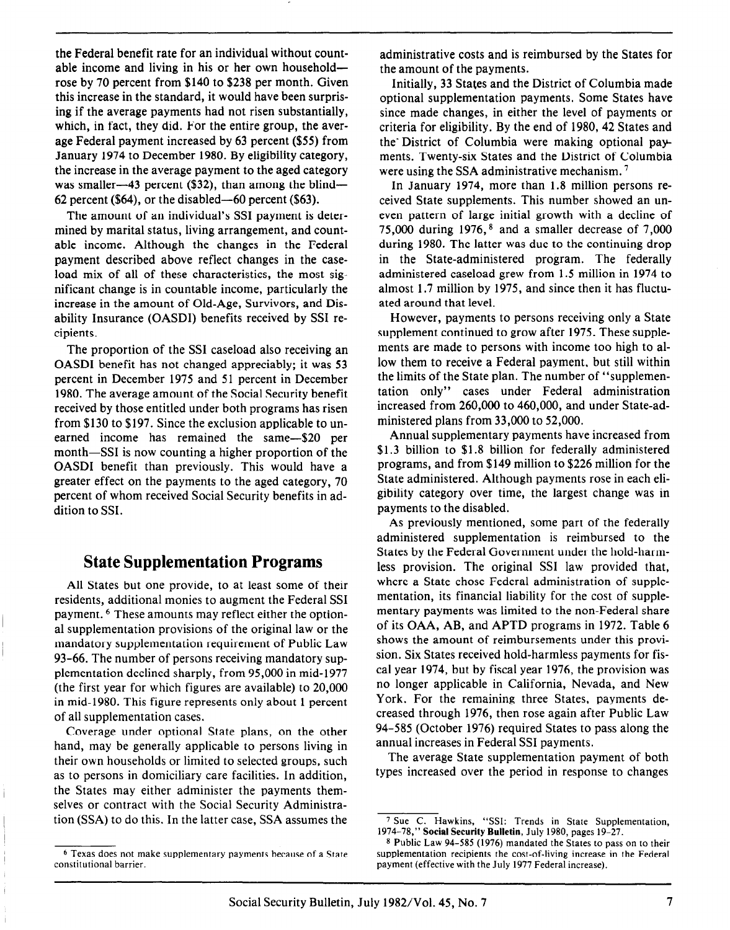the Federal benefit rate for an individual without countable income and living in his or her own householdrose by 70 percent from \$140 to \$238 per month. Given this increase in the standard, it would have been surprising if the average payments had not risen substantially, which, in fact, they did. For the entire group, the average Federal payment increased by 63 percent (\$55) from January 1974 to December 1980. By eligibility category, the increase in the average payment to the aged category was smaller—43 percent  $(\$32)$ , than among the blind— 62 percent (\$64), or the disabled—60 percent (\$63).

The amount of an individual's SSI payment is determined by marital status, living arrangement, and countable income. Although the changes in the Federal payment described above reflect changes in the caseload mix of all of these characteristics, the most significant change is in countable income, particularly the increase in the amount of Old-Age, Survivors, and Disability Insurance (OASDI) benefits received by SSI recipients.

The proportion of the SSI caseload also receiving an OASDI benefit has not changed appreciably; it was 53 percent in December 1975 and 51 percent in December 1980. The average amount of the Social Security benefit received by those entitled under both programs has risen from \$130 to \$197. Since the exclusion applicable to unearned income has remained the same-\$20 per month—SSI is now counting a higher proportion of the OASDI benefit than previously. This would have a greater effect on the payments to the aged category, 70 percent of whom received Social Security benefits in addition to SSI.

### State Supplementation Programs

All States but one provide, to at least some of their residents, additional monies to augment the Federal SSI payment. 6 These amounts may reflect either the optional supplementation provisions of the original law or the mandatory supplementation requirement of Public Law 93-66. The number of persons receiving mandatory supplementation declined sharply, from 95,000 in mid-1977 (the first year for which figures are available) to 20,000 in mid-1980. This figure represents only about 1 percent of all supplementation cases.

Coverage under optional State plans, on the other hand, may be generally applicable to persons living in their own households or limited to selected groups, such as to persons in domiciliary care facilities. In addition, the States may either administer the payments themselves or contract with the Social Security Administration (SSA) to do this. In the latter case, SSA assumes the administrative costs and is reimbursed by the States for the amount of the payments.

Initially, 33 States and the District of Columbia made optional supplementation payments. Some States have since made changes, in either the level of payments or criteria for eligibility. By the end of 1980, 42 States and the' District of Columbia were making optional payments. Twenty-six States and the District of Columbia were using the SSA administrative mechanism.<sup>7</sup>

In January 1974, more than 1.8 million persons received State supplements. This number showed an uneven pattern of large initial growth with a decline of 75,000 during  $1976$ ,  $8$  and a smaller decrease of 7,000 during 1980. The latter was due to the continuing drop in the State-administered program. The federally administered caseload grew from 1.5 million in 1974 to almost 1.7 million by 1975, and since then it has fluctuated around that level.

However, payments to persons receiving only a State supplement continued to grow after 1975. These supplements are made to persons with income too high to allow them to receive a Federal payment, but still within the limits of the State plan. The number of "supplementation only" cases under Federal administration increased from 260,000 to 460,000, and under State-administered plans from 33,000 to 52,000.

Annual supplementary payments have increased from \$1.3 billion to \$1.8 billion for federally administered programs, and from \$149 million to \$226 million for the State administered. Although payments rose in each eligibility category over time, the largest change was in payments to the disabled.

As previously mentioned, some part of the federally administered supplementation is reimbursed to the States by the Federal Government under the hold-harmless provision. The original SSI law provided that, where a State chose Federal administration of supplementation, its financial liability for the cost of supplementary payments was limited to the non-Federal share of its OAA, AB, and APTD programs in 1972. Table 6 shows the amount of reimbursements under this provision. Six States received hold-harmless payments for fiscal year 1974, but by fiscal year 1976, the provision was no longer applicable in California, Nevada, and New York. For the remaining three States, payments decreased through 1976, then rose again after Public Law 94-585 (October 1976) required States to pass along the annual increases in Federal SSI payments.

The average State supplementation payment of both types increased over the period in response to changes

<sup>6</sup> Texas does not make supplementary payments because of a State constitutional barrier.

<sup>&</sup>lt;sup>7</sup> Sue C. Hawkins, "SSI: Trends in State Supplementation, 1974-78," Social Security Bulletin, July 1980, pages 19-27.

<sup>8</sup> Public Law 94-585 (1976) mandated the States to pass on to their supplementation recipients the cost-of-living increase in the Federal payment (effective with the July 1977 Federal increase).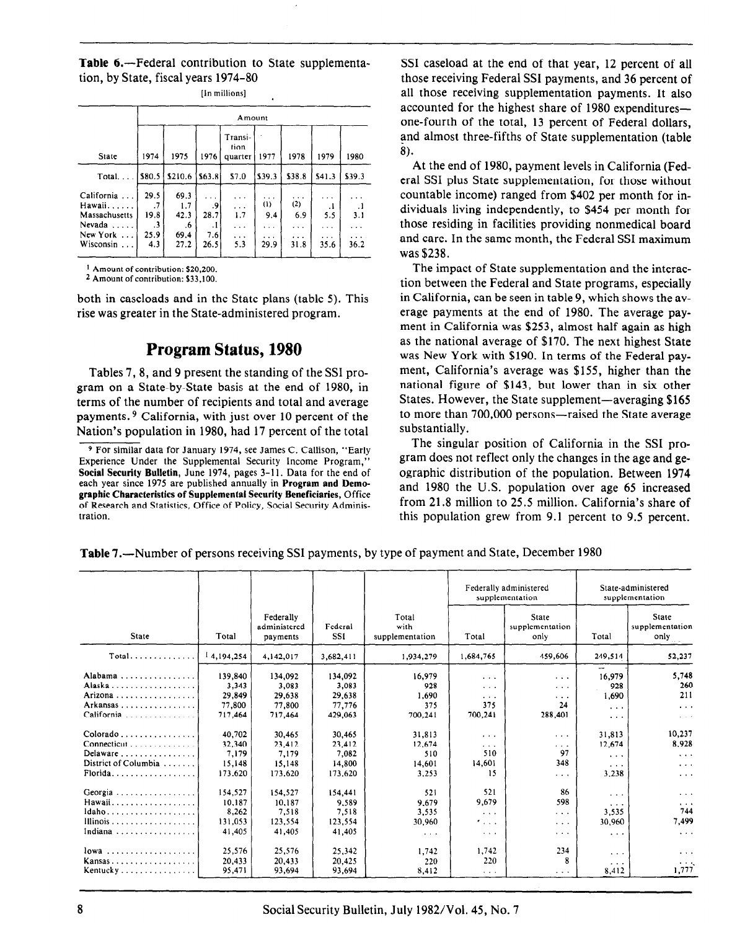Table 6.-Federal contribution to State supplementation, by State, fiscal years 1974-80

|                   | Amount |         |        |                            |          |          |          |          |  |  |  |
|-------------------|--------|---------|--------|----------------------------|----------|----------|----------|----------|--|--|--|
| State             | 1974   | 1975    | 1976   | Transi-<br>tion<br>quarter | 1977     | 1978     | 1979     | 1980     |  |  |  |
| Total             | \$80.5 | \$210.6 | \$63.8 | \$7.0                      | \$39.3   | \$38.8   | \$41.3   | \$39.3   |  |  |  |
| California        | 29.5   | 69.3    |        | $\cdots$                   | .        | $\cdots$ | $\cdots$ |          |  |  |  |
| Hawaii            | .7     | 1.7     | .9     | $\cdots$                   | (1)      | (2)      | $\cdot$  | $\cdot$  |  |  |  |
| Massachusetts     | 19.8   | 42.3    | 28.7   | 1.7                        | 9.4      | 6.9      | 5.5      | 3.1      |  |  |  |
| Nevada $\ldots$ . | .3     | .6      | . 1    | $\cdots$                   | $\cdots$ | .        | .        |          |  |  |  |
| New York $\dots$  | 25.9   | 69.4    | 7.6    | $\cdots$                   | $\cdots$ | $\cdots$ | $\cdots$ | $\cdots$ |  |  |  |
| Wisconsin         | 4.3    | 27.2    | 26.5   | 5.3                        | 29.9     | 31.8     | 35.6     | 36.2     |  |  |  |

[In miliions]

2 Amount of contribution: \$33,100.

both in caseloads and in the State plans (table 5). This rise was greater in the State-administered program.

## Program Status, 1980

Tables 7,8, and 9 present the standing of the SSI program on a State-by-State basis at the end of 1980, in terms of the number of recipients and total and average payments. 9 California, with just over 10 percent of the Nation's population in 1980, had 17 percent of the total

9 For similar data for January 1974, see James C. Callison, "Early Experience Under the Supplemental Security Income Program,' Social Security Bulletin, June 1974, pages 3-11. Data for the end of each year since 1975 are published annually in Program and Demographic Characteristics of Supplemental Security Beneficiaries, Office of Research and Statistics, Office of Policy, Social Security Administration.

SSI caseload at the end of that year, 12 percent of all those receiving Federal SSI payments, and 36 percent of all those receiving supplementation payments. It also accounted for the highest share of 1980 expenditures one-fourth of the total, 13 percent of Federal dollars, and almost three-fifths of State supplementation (table 8).

At the end of 1980, payment levels in California (Federal SSI plus State supplementation, for those without countable income) ranged from \$402 per month for individuals living independently, to \$454 per month for those residing in facilities providing nonmedical board and care. In the same month, the Federal SSI maximum was \$238.

The impact of State supplementation and the interaction between the Federal and State programs, especially in California, can be seen in table 9, which shows the average payments at the end of 1980. The average payment in California was \$253, almost half again as high as the national average of \$170. The next highest State was New York with \$190. In terms of the Federal payment, California's average was \$155, higher than the national figure of \$143, but lower than in six other States. However, the State supplement—averaging \$165 to more than 700,000 persons—raised the State average substantially.

The singular position of California in the SSI program does not reflect only the changes in the age and geographic distribution of the population. Between 1974 and 1980 the U.S. population over age 65 increased from 21.8 million to 25.5 million. California's share of this population grew from 9.1 percent to 9.5 percent.

|                                        |            |                                       |                       |                                  |                      | Federally administered<br>supplementation                                                  |                       | State-administered<br>supplementation   |  |  |
|----------------------------------------|------------|---------------------------------------|-----------------------|----------------------------------|----------------------|--------------------------------------------------------------------------------------------|-----------------------|-----------------------------------------|--|--|
| State                                  | Total      | Federally<br>administered<br>payments | Federal<br><b>SSI</b> | Total<br>with<br>supplementation | Total                | State<br>supplementation<br>only                                                           | Total                 | <b>State</b><br>supplementation<br>only |  |  |
| $Total$                                | 14,194,254 | 4,142,017                             | 3,682,411             | 1.934,279                        | 1,684,765            | 459,606                                                                                    | 249,514               | 52,237                                  |  |  |
| Alabama                                | 139,840    | 134.092                               | 134.092               | 16.979                           | $\cdots$             | $\cdots$                                                                                   | 16,979                | 5,748                                   |  |  |
| Alaska                                 | 3,343      | 3,083                                 | 3,083                 | 928                              | $\sim$ $\sim$        | $\cdots$                                                                                   | 928                   | 260                                     |  |  |
| Arizona                                | 29,849     | 29,638                                | 29,638                | 1.690                            | $\sim$ $\sim$ $\sim$ | $\cdots$                                                                                   | 1,690                 | 211                                     |  |  |
| Arkansas                               | 77,800     | 77,800                                | 77,776                | 375                              | 375                  | 24                                                                                         | $\cdots$              | $\cdots$                                |  |  |
| California                             | 717,464    | 717,464                               | 429,063               | 700,241                          | 700,241              | 288,401                                                                                    | $\sim$ $\sim$ $\sim$  | $\sim$ $\sim$ $\sim$                    |  |  |
| $Colorado \ldots \ldots \ldots \ldots$ | 40.702     | 30,465                                | 30,465                | 31,813                           | $\cdots$             | $\begin{array}{ccccccccccccc} \bullet & \bullet & \bullet & \bullet & \bullet \end{array}$ | 31,813                | 10.237                                  |  |  |
|                                        | 32.340     | 23,412                                | 23,412                | 12.674                           | $\cdots$             | $\cdots$                                                                                   | 12,674                | 8.928                                   |  |  |
| Delaware                               | 7.179      | 7.179                                 | 7,082                 | 510                              | 510                  | 97                                                                                         | $\cdots$              | $\sim$ $\sim$ $\sim$                    |  |  |
| District of Columbia                   | 15,148     | 15,148                                | 14,800                | 14,601                           | 14,601               | 348                                                                                        | $\cdots$              | $\alpha = 0$ .                          |  |  |
| Florida                                | 173,620    | 173,620                               | 173,620               | 3.253                            | 15                   | .                                                                                          | 3,238                 | $\sim$ $\sim$ $\sim$                    |  |  |
| Georgia                                | 154,527    | 154,527                               | 154,441               | 521                              | 521                  | 86                                                                                         | $\sim$ $\sim$ $\sim$  | $\alpha \rightarrow -\infty$            |  |  |
| Hawaii                                 | 10.187     | 10.187                                | 9.589                 | 9.679                            | 9.679                | 598                                                                                        | $\cdots$              | $\cdots$                                |  |  |
| $ldaho$                                | 8,262      | 7,518                                 | 7,518                 | 3,535                            | $\sim 100$           | .                                                                                          | 3,535                 | 744                                     |  |  |
| Illinois                               | 131,053    | 123,554                               | 123,554               | 30,960                           | 1999                 | $\cdots$                                                                                   | 30,960                | 7,499                                   |  |  |
| Indiana                                | 41,405     | 41,405                                | 41,405                | $\cdots$                         | $\sim$ $\sim$ $\sim$ | $\cdots$                                                                                   | $\cdots$              | $\cdots$                                |  |  |
| $lowa$                                 | 25,576     | 25,576                                | 25,342                | 1,742                            | 1,742                | 234                                                                                        | $\alpha = \alpha = 1$ | $\cdots$                                |  |  |
| Kansas                                 | 20,433     | 20,433                                | 20.425                | 220                              | 220                  | 8                                                                                          | $\cdots$              | $\alpha \rightarrow -\infty$            |  |  |
| Kentucky                               | 95,471     | 93,694                                | 93.694                | 8,412                            | $\cdots$             | $\cdots$                                                                                   | 8,412                 | 1.777                                   |  |  |

Table 7.—Number of persons receiving SSI payments, by type of payment and State, December 1980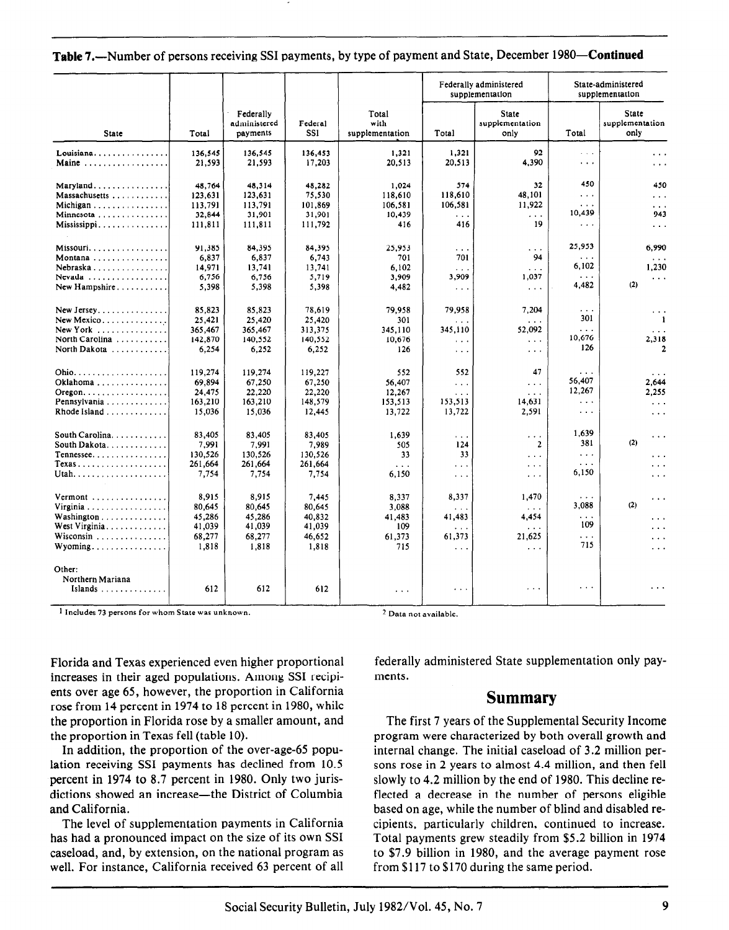#### Table 7.—Number of persons receiving SSI payments, by type of payment and State, December 1980—Continued

|                                       |         |                                       |                       |                                  |                      | Federally administered<br>supplementation |                                   | State-administered<br>supplementation   |
|---------------------------------------|---------|---------------------------------------|-----------------------|----------------------------------|----------------------|-------------------------------------------|-----------------------------------|-----------------------------------------|
| <b>State</b>                          | Total   | Federally<br>administered<br>payments | Federal<br><b>SSI</b> | Total<br>with<br>supplementation | Total                | <b>State</b><br>supplementation<br>only   | Total                             | <b>State</b><br>supplementation<br>only |
| Louisiana                             | 136,545 | 136,545                               | 136,453               | 1,321                            | 1,321                | 92                                        | $\cdots$                          | $\cdots$                                |
| Maine                                 | 21,593  | 21,593                                | 17,203                | 20,513                           | 20,513               | 4,390                                     | $\cdots$                          | $\cdots$                                |
| Maryland                              | 48,764  | 48,314                                | 48,282                | 1,024                            | 574                  | 32                                        | 450                               | 450                                     |
| Massachusetts                         | 123,631 | 123,631                               | 75,530                | 118,610                          | 118,610              | 48,101                                    | $\cdots$                          | $\cdots$                                |
| Michigan                              | 113,791 | 113,791                               | 101.869               | 106,581                          | 106,581              | 11,922                                    | .                                 | $\cdots$                                |
| Minnesota                             | 32,844  | 31,901                                | 31,901                | 10,439                           | $\cdots$             | $\ldots$                                  | 10,439                            | 943                                     |
| Mississippi                           | 111,811 | 111,811                               | 111,792               | 416                              | 416                  | 19                                        | $\cdots$                          | $\sim$ $\sim$ $\sim$                    |
| Missouri                              | 91.385  | 84.395                                | 84.395                | 25.953                           | $\cdots$             | $\cdots$                                  | 25,953                            | 6.990                                   |
| Montana                               | 6,837   | 6,837                                 | 6,743                 | 701                              | 701                  | 94                                        | $\cdots$                          | $\sim$ $\sim$ $\sim$                    |
| Nebraska                              | 14,971  | 13,741                                | 13.741                | 6.102                            | $\cdots$             | $\sim$ $\sim$ $\sim$                      | 6,102                             | 1.230                                   |
| Nevada                                | 6,756   | 6,756                                 | 5,719                 | 3,909                            | 3,909                | 1,037                                     | $\cdots$                          | $\cdots$                                |
| New Hampshire                         | 5,398   | 5,398                                 | 5,398                 | 4,482                            | $\sim 100$           | $\sim 10$                                 | 4,482                             | (2)                                     |
| New Jersey.                           | 85,823  | 85,823                                | 78,619                | 79,958                           | 79,958               | 7,204                                     | $\sim$ $\sim$                     | $\cdots$                                |
| New Mexico                            | 25.421  | 25,420                                | 25,420                | 301                              | .                    | $\sim$ $\sim$                             | 301                               | $\mathbf{1}$                            |
| New York $\ldots$                     | 365,467 | 365,467                               | 313,375               | 345,110                          | 345,110              | 52,092                                    | $\sim$ .                          | $\sim$ $\sim$ $\sim$                    |
| North Carolina                        | 142,870 | 140,552                               | 140,552               | 10,676                           | $\cdots$             | $\sim 10$                                 | 10.676                            | 2,318                                   |
| North Dakota                          | 6,254   | 6,252                                 | 6,252                 | 126                              | $\sim$ $\sim$ $\sim$ | $\sim$ $\sim$ $\sim$                      | 126                               | $\overline{2}$                          |
|                                       | 119.274 | 119,274                               | 119.227               | 552                              | 552                  | 47                                        | $\cdots$                          | $\cdots$                                |
| Oklahoma                              | 69.894  | 67,250                                | 67,250                | 56,407                           | $\sim$ .             | $\sim$ $\sim$ $\sim$                      | 56,407                            | 2,644                                   |
| $O$ regon. $\ldots$ .                 | 24,475  | 22,220                                | 22,220                | 12,267                           | $\sim$ $\sim$ $\sim$ | $\sim$ $\sim$ $\sim$                      | 12,267                            | 2.255                                   |
| Pennsylvania                          | 163,210 | 163,210                               | 148,579               | 153,513                          | 153,513              | 14,631                                    | $\sim$ $\sim$                     | $\sim$ $\sim$ $\sim$                    |
|                                       | 15,036  | 15,036                                | 12,445                | 13,722                           | 13,722               | 2,591                                     | $\cdots$                          | $\cdots$                                |
| South Carolina.                       | 83,405  | 83.405                                | 83,405                | 1,639                            | $\sim 100$           | $\sim 100$                                | 1.639                             | $\cdots$                                |
| South Dakota.                         | 7,991   | 7.991                                 | 7.989                 | 505                              | 124                  | $\mathbf{2}$                              | 381                               | (2)                                     |
| Tennessee                             | 130,526 | 130,526                               | 130,526               | 33                               | 33                   | $\sim$ $\sim$ $\sim$                      | $\ldots$                          | $\cdots$                                |
| Texas                                 | 261,664 | 261,664                               | 261,664               | $\ddotsc$                        | $\cdots$             | $\sim$ $\sim$ $\sim$                      | .                                 | $\cdots$                                |
| Utah                                  | 7,754   | 7,754                                 | 7,754                 | 6,150                            | $\sim 100$           | $\alpha$ , $\alpha$ , $\alpha$            | 6,150                             | $\cdots$                                |
| Vermont                               | 8.915   | 8.915                                 | 7.445                 | 8,337                            | 8,337                | 1,470                                     | $\cdots$                          | $\epsilon \rightarrow -\epsilon$        |
| Virginia                              | 80,645  | 80.645                                | 80,645                | 3,088                            | .                    | $\sim 100$                                | 3.088                             | (2)                                     |
| Washington                            | 45,286  | 45,286                                | 40,832                | 41.483                           | 41,483               | 4,454                                     | $\cdots$                          | $\cdots$                                |
| West Virginia                         | 41,039  | 41,039                                | 41,039                | 109                              | $\sim$ . $\sim$      | $\cdots$                                  | 109                               | $\cdots$                                |
| Wisconsin                             | 68,277  | 68,277                                | 46,652                | 61,373                           | 61,373               | 21,625                                    | .                                 | .                                       |
| Wyoming                               | 1,818   | 1,818                                 | 1,818                 | 715                              | $\sim$ .             | $\sim$ $\sim$ $\sim$                      | 715                               | $\cdots$                                |
| Other:<br>Northern Mariana<br>Islands | 612     | 612                                   | 612                   | $\sim$ $\sim$ $\sim$             | $\sim$ $\sim$ $\sim$ | $\cdots$                                  | $\bullet$ , $\bullet$ , $\bullet$ |                                         |

1 Includes 73 persons for whom State was unknown. 2 Data not available.

Florida and Texas experienced even higher proportional increases in their aged populations. Among SSI recipients over age 65, however, the proportion in California rose from 14 percent in 1974 to 18 percent in 1980, while the proportion in Florida rose by a smaller amount, and the proportion in Texas fell (table 10).

In addition, the proportion of the over-age-65 population receiving SSI payments has declined from 10.5 percent in 1974 to 8.7 percent in 1980. Only two jurisdictions showed an increase—the District of Columbia and California.

The level of supplementation payments in California has had a pronounced impact on the size of its own SSI caseload, and, by extension, on the national program as well. For instance, California received 63 percent of all

federally administered State supplementation only payments.

# Summary

The first 7 years of the Supplemental Security Income program were characterized by both overall growth and internal change. The initial caseload of 3.2 million persons rose in 2 years to almost 4.4 million, and then fell slowly to 4.2 million by the end of 1980. This decline reflected a decrease in the number of persons eligible based on age, while the number of blind and disabled recipients, particularly children, continued to increase. Total payments grew steadily from \$5.2 billion in 1974 to \$7.9 billion in 1980, and the average payment rose from \$117 to \$170 during the same period.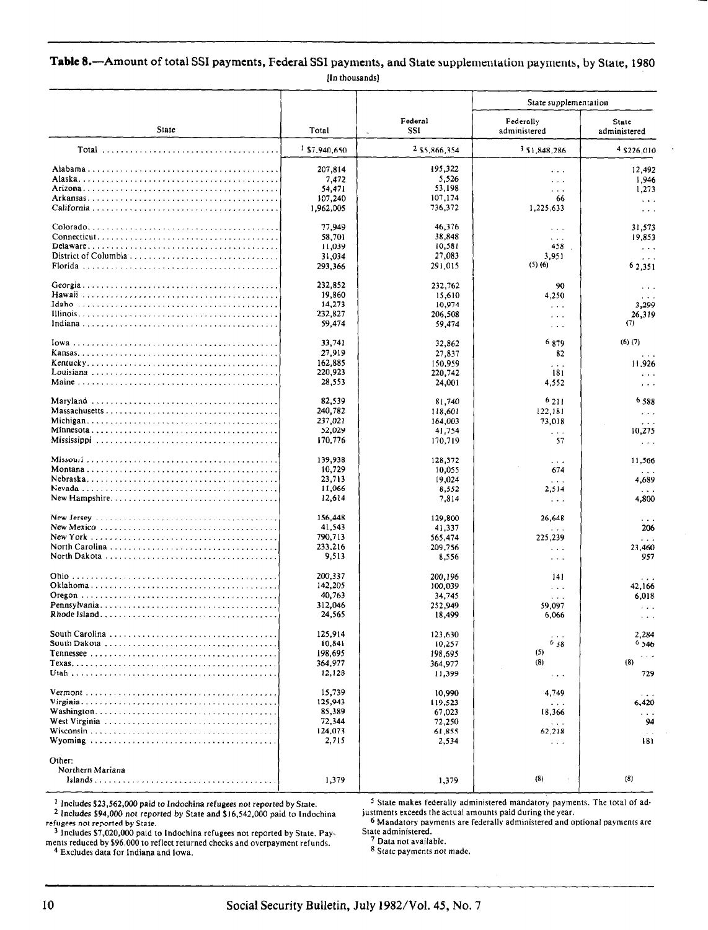#### Table 8.-Amount of total SSI payments, Federal SSI payments, and State supplementation payments, by State, 1980 [In thousands]

|                                                                                                   |                          |                    | State supplementation                                                                |                                  |
|---------------------------------------------------------------------------------------------------|--------------------------|--------------------|--------------------------------------------------------------------------------------|----------------------------------|
| State                                                                                             | Total                    | Federal<br>SSI     | Federally<br>administered                                                            | State<br>administered            |
|                                                                                                   | <sup>1</sup> \$7,940,650 | 2 \$5,866,354      | 3 \$1,848,286                                                                        | 4 \$226,010                      |
|                                                                                                   | 207,814                  | 195,322            | $\cdots$                                                                             | 12,492                           |
|                                                                                                   | 7,472                    | 5,526              | $\cdots$                                                                             | 1,946                            |
|                                                                                                   | 54,471                   | 53.198             | .                                                                                    | 1,273                            |
|                                                                                                   | 107,240<br>1,962,005     | 107,174<br>736,372 | 66<br>1,225,633                                                                      | $\ldots$<br>$\sim$ $\sim$ $\sim$ |
|                                                                                                   | 77.949                   | 46,376             | $\sim$ $\sim$ $\sim$                                                                 | 31,573                           |
| $Connecticut \dots \dots \dots \dots \dots \dots \dots \dots \dots \dots \dots \dots \dots \dots$ | 58,701                   | 38,848             | $\epsilon \rightarrow \infty$                                                        | 19,853                           |
|                                                                                                   | 11,039                   | 10,581             | 458                                                                                  | $\ldots$                         |
|                                                                                                   | 31,034                   | 27,083             | 3.951                                                                                | $\sim$ $\sim$ $\sim$             |
|                                                                                                   | 293,366                  | 291,015            | $(5)$ (6)                                                                            | 62.351                           |
|                                                                                                   | 232,852                  | 232,762            | 90                                                                                   | $\cdots$                         |
|                                                                                                   | 19,860                   | 15,610             | 4.250                                                                                | $\cdots$                         |
|                                                                                                   | 14,273                   | 10,974             | $\sim$ $\sim$ $\sim$                                                                 | 3,299                            |
|                                                                                                   | 232,827                  | 206,508            | $\cdots$                                                                             | 26,319<br>(7)                    |
|                                                                                                   | 59,474                   | 59,474             | $\alpha$ , $\alpha$ , $\alpha$                                                       |                                  |
|                                                                                                   | 33,741                   | 32,862             | 6 879                                                                                | $(6)$ $(7)$                      |
|                                                                                                   | 27,919                   | 27.837             | 82                                                                                   |                                  |
|                                                                                                   | 162,885                  | 150,959            | .                                                                                    | 11,926                           |
|                                                                                                   | 220,923<br>28,553        | 220,742<br>24,001  | 181<br>4,552                                                                         | $\cdots$                         |
|                                                                                                   |                          |                    |                                                                                      | $\sim$ $\sim$                    |
|                                                                                                   | 82,539                   | 81,740             | 6211                                                                                 | 6588                             |
|                                                                                                   | 240,782                  | 118,601            | 122,181                                                                              | 294                              |
|                                                                                                   | 237,021                  | 164,003            | 73,018                                                                               | .                                |
|                                                                                                   | 52,029<br>170,776        | 41,754<br>170,719  | $\sim$ $\sim$ $\sim$<br>57                                                           | 10,275                           |
|                                                                                                   |                          |                    |                                                                                      | $\sim 100$                       |
|                                                                                                   | 139,938                  | 128,372            | .                                                                                    | 11,566                           |
|                                                                                                   | 10,729                   | 10,055             | 674                                                                                  | .                                |
|                                                                                                   | 23.713                   | 19,024             | $\mathbf{r}=\mathbf{r}+\mathbf{r}$                                                   | 4,689                            |
|                                                                                                   | 11,066<br>12,614         | 8,552<br>7,814     | 2,514                                                                                | 4,800                            |
|                                                                                                   |                          |                    | $\sim$ $\sim$ $\sim$                                                                 |                                  |
|                                                                                                   | 156,448                  | 129,800            | 26,648                                                                               |                                  |
| New Mexico $\ldots \ldots \ldots \ldots \ldots \ldots \ldots \ldots \ldots \ldots \ldots$         | 41.543                   | 41,337             | $\cdots$                                                                             | 206                              |
|                                                                                                   | 790,713                  | 565,474            | 225,239                                                                              | $\cdots$                         |
|                                                                                                   | 233,216<br>9,513         | 209,756<br>8,556   | $\cdots$<br>$\alpha$ , $\alpha$ , $\alpha$                                           | 23,460<br>957                    |
|                                                                                                   |                          |                    |                                                                                      |                                  |
|                                                                                                   | 200,337                  | 200,196            | 141                                                                                  |                                  |
|                                                                                                   | 142,205                  | 100,039            | $\lambda$ , and $\lambda$                                                            | 42.166                           |
|                                                                                                   | 40,763<br>312,046        | 34,745<br>252,949  | $\sim$ $\sim$<br>59,097                                                              | 6,018                            |
|                                                                                                   | 24,565                   | 18,499             | 6,066                                                                                | .<br>$\cdots$                    |
|                                                                                                   | 125,914                  | 123.630            |                                                                                      |                                  |
|                                                                                                   | 10,841                   | 10,257             | $^{6}$ 38                                                                            | 2,284<br>6,546                   |
|                                                                                                   | 198,695                  | 198,695            | (5)                                                                                  |                                  |
|                                                                                                   | 364,977                  | 364.977            | (8)                                                                                  | (8)                              |
|                                                                                                   | 12,128                   | 11,399             | $\sim$ $\sim$                                                                        | 729                              |
|                                                                                                   | 15,739                   | 10,990             | 4,749                                                                                |                                  |
|                                                                                                   | 125,943                  | 119,523            | .                                                                                    | 6,420                            |
|                                                                                                   | 85,389                   | 67,023             | 18,366                                                                               | .                                |
|                                                                                                   | 72,344                   | 72,250             | $\sim$ $\sim$ $\sim$                                                                 | -94                              |
|                                                                                                   | 124,073<br>2,715         | 61,855<br>2,534    | 62,218                                                                               | .<br>181                         |
|                                                                                                   |                          |                    | $\sim$ $\sim$                                                                        |                                  |
| Other:                                                                                            |                          |                    |                                                                                      |                                  |
| Northern Mariana                                                                                  | 1,379                    | 1,379              | (8)                                                                                  | (8)                              |
|                                                                                                   |                          |                    |                                                                                      |                                  |
| $1$ Includes \$23,562,000 paid to Indochina refugees not reported by State.                       |                          |                    | <sup>5</sup> State makes federally administered mandatory payments. The total of ad- |                                  |

2 Includes \$23,562,000 paid to Indochina refugees not reported by State.<br>2 Includes \$94,000 not reported by State and \$16,542,000 paid to Indochina ustments exceeds the actual amounts paid during the year.<br><sup>5</sup> Mandatory p

3 Includes \$7,020,000 paid to Indochina refugees not reported by State. Payments reduced by \$96,000 to reflect returned checks and overpayment refunds. 4 Excludes data for Indiana and Iowa.

refugees not reported by State. 6 Mandatory payments are federally administered and optional payments are  $\bullet$  Mandatory payments are federally administered and optional payments are State administere

' Data not available.

6 State payments not made.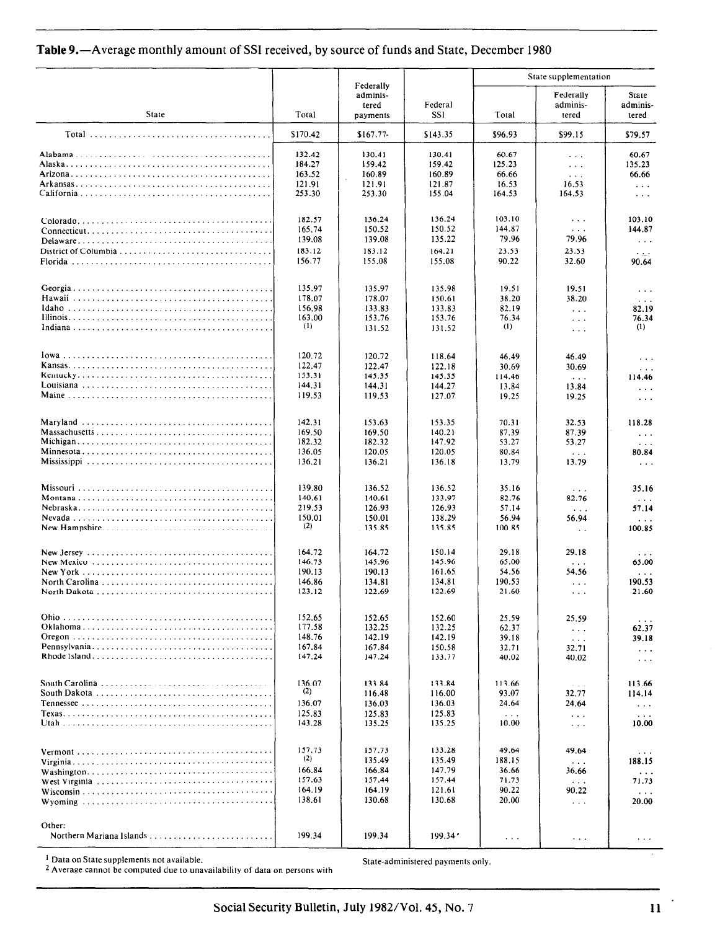# Table 9.-Average monthly amount of SSI received, by source of funds and State, December 1980

|                                    |          | Federally                     |                | State supplementation |                                |                                |  |  |
|------------------------------------|----------|-------------------------------|----------------|-----------------------|--------------------------------|--------------------------------|--|--|
| <b>State</b>                       | Total    | adminis-<br>tered<br>payments | Federal<br>SSI | Total                 | Federally<br>adminis-<br>tered | State<br>adminis-<br>tered     |  |  |
|                                    | \$170.42 | \$167.77                      | \$143.35       | \$96.93               | \$99.15                        | \$79.57                        |  |  |
|                                    | 132.42   | 130.41                        | 130.41         | 60.67                 | $\sim$ $\sim$ $\sim$           | 60.67                          |  |  |
|                                    | 184.27   | 159.42                        | 159.42         | 125.23                | $\sim 100$                     | 135.23                         |  |  |
|                                    | 163.52   | 160.89                        | 160.89         | 66.66                 | $\sim 100$                     | 66.66                          |  |  |
|                                    | 121.91   | 121.91                        | 121.87         | 16.53                 | 16.53                          | $\sim$ $\sim$ $\sim$           |  |  |
|                                    | 253.30   | 253.30                        | 155.04         | 164.53                | 164.53                         | $\cdots$                       |  |  |
|                                    | 182.57   | 136.24                        | 136.24         | 103.10                | $\sim$ $\sim$ $\sim$           | 103.10                         |  |  |
|                                    | 165,74   | 150.52                        | 150.52         | 144.87                | $\sim$ $\sim$ $\sim$           | 144.87                         |  |  |
|                                    | 139.08   | 139.08                        | 135.22         | 79.96                 | 79.96                          | $\sim$ $\sim$ $\sim$           |  |  |
| District of Columbia               | 183.12   | 183.12                        | 164.21         | 23.53                 | 23.53                          | $\sim$ $\sim$ $\sim$           |  |  |
|                                    | 156.77   | 155.08                        | 155.08         | 90.22                 | 32.60                          | 90.64                          |  |  |
|                                    | 135.97   | 135.97                        | 135.98         | 19.51                 | 19.51                          | $\sim$ $\sim$ $\sim$           |  |  |
|                                    | 178.07   | 178.07                        | 150.61         | 38.20                 | 38.20                          | $\sim$ $\sim$ $\sim$           |  |  |
|                                    | 156.98   | 133.83                        | 133.83         | 82.19                 | $\sim 100$                     | 82.19                          |  |  |
|                                    | 163.00   | 153.76                        | 153.76         | 76.34                 | $\sim$ .                       | 76.34                          |  |  |
|                                    | (1)      | 131.52                        | 131.52         | (1)                   | $\sim$ $\sim$ $\sim$           | (1)                            |  |  |
|                                    | 120.72   | 120.72                        | 118.64         | 46.49                 | 46.49                          | $\ldots$                       |  |  |
|                                    | 122.47   | 122.47                        | 122.18         | 30.69                 | 30.69                          | $\alpha$ , $\alpha$ , $\alpha$ |  |  |
|                                    | 153.31   | 145.35                        | 145.35         | 114.46                | $\sim 100$                     | 114,46                         |  |  |
|                                    | 144.31   | 144.31                        | 144.27         | 13.84                 | 13.84                          | $\sim$ $\sim$ $\sim$           |  |  |
|                                    | 119.53   | 119.53                        | 127.07         | 19.25                 | 19.25                          | $\sim$ $\sim$ $\sim$           |  |  |
|                                    | 142.31   | 153.63                        | 153.35         | 70.31                 | 32.53                          | 118.28                         |  |  |
|                                    | 169.50   | 169.50                        | 140.21         | 87.39                 | 87.39                          | $\sim$ $\sim$ $\sim$           |  |  |
|                                    | 182.32   | 182.32                        | 147.92         | 53.27                 | 53.27                          | $\cdots$                       |  |  |
|                                    | 136.05   | 120.05                        | 120.05         | 80.84                 | $\sim$ $\sim$ $\sim$           | 80.84                          |  |  |
|                                    | 136.21   | 136.21                        | 136.18         | 13.79                 | 13.79                          | $\sim 100$                     |  |  |
|                                    | 139.80   | 136.52                        | 136.52         | 35.16                 | $\ddotsc$                      | 35.16                          |  |  |
|                                    | 140.61   | 140.61                        | 133.97         | 82.76                 | 82.76                          | $\sim$ $\sim$ $\sim$           |  |  |
|                                    | 219.53   | 126.93                        | 126.93         | 57.14                 | $\alpha$ , $\alpha$ , $\alpha$ | 57.14                          |  |  |
|                                    | 150.01   | 150.01                        | 138.29         | 56.94                 | 56.94                          | $\sim$ $\sim$ $\sim$           |  |  |
|                                    | (2)      | 135.85                        | 135.85         | 100.85                | $\sim$ $\sim$ $\sim$           | 100.85                         |  |  |
|                                    | 164.72   | 164.72                        | 150.14         | 29.18                 | 29.18                          | $\cdots$                       |  |  |
|                                    | 146.73   | 145.96                        | 145.96         | 65.00                 | $\sim 100$                     | 65.00                          |  |  |
|                                    | 190.13   | 190.13                        | 161.65         | 54.56                 | 54.56                          | $\ldots$                       |  |  |
|                                    | 146,86   | 134.81                        | 134.81         | 190.53                | $\sim 100$                     | 190.53                         |  |  |
|                                    | 123.12   | 122.69                        | 122.69         | 21.60                 | $\cdots$                       | 21.60                          |  |  |
|                                    | 152.65   | 152.65                        | 152.60         | 25.59                 | 25.59                          | $\cdots$                       |  |  |
|                                    | 177.58   | 132.25                        | 132.25         | 62.37                 | $\sim$ $\sim$                  | 62.37                          |  |  |
|                                    | 148.76   | 142.19                        | 142.19         | 39.18                 | $\sim$ $\sim$ $\sim$           | 39.18                          |  |  |
|                                    | 167.84   | 167.84                        | 150.58         | 32.71                 | 32.71                          | $\cdots$                       |  |  |
|                                    | 147.24   | 147.24                        | 133.77         | 40.02                 | 40.02                          | $\cdots$                       |  |  |
|                                    | 136.07   | 133.84                        | 133.84         | 113.66                | $\ddots$ .                     | 113.66                         |  |  |
|                                    | (2)      | 116.48                        | 116.00         | 93.07                 | 32.77                          | 114.14                         |  |  |
|                                    | 136.07   | 136.03                        | 136.03         | 24.64                 | 24.64                          | $\sim$ $\sim$ $\sim$           |  |  |
|                                    | 125.83   | 125.83                        | 125.83         | $\cdots$              | $\sim$ $\sim$ $\sim$           | $\cdots$                       |  |  |
|                                    | 143.28   | 135.25                        | 135.25         | 10.00                 | $\sim$ $\sim$                  | 10.00                          |  |  |
|                                    | 157,73   | 157.73                        | 133.28         | 49.64                 | 49.64                          | $\cdots$                       |  |  |
|                                    | (2)      | 135.49                        | 135.49         | 188.15                | $\sim$ $\sim$ $\sim$           | 188.15                         |  |  |
|                                    | 166.84   | 166.84                        | 147.79         | 36.66                 | 36.66                          | $\sim$ $\sim$ $\sim$           |  |  |
|                                    | 157.63   | 157.44                        | 157.44         | 71.73                 | $\sim$ $\sim$ $\sim$           | 71.73                          |  |  |
|                                    | 164.19   | 164.19                        | 121.61         | 90.22                 | 90.22                          | $\sim$ $\sim$ $\sim$           |  |  |
|                                    | 138.61   | 130.68                        | 130.68         | 20.00                 | $\sim$ $\sim$ $\sim$           | 20.00                          |  |  |
| Other:<br>Northern Mariana Islands | 199.34   | 199.34                        | 199.34         | $\sim$ $\sim$ $\sim$  | $\sim$ $\sim$ $\sim$           | $\cdots$                       |  |  |

State-administered payments only.

<sup>1</sup> Data on State supplements not available.<br><sup>2</sup> Average cannot be computed due to unavailability of data on persons with